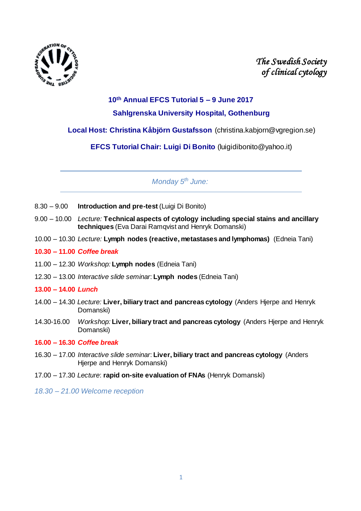

*The Swedish Society of clinical cytology* 

# **10th Annual EFCS Tutorial 5 – 9 June 2017 Sahlgrenska University Hospital, Gothenburg**

**Local Host: Christina Kåbjörn Gustafsson** (christina.kabjorn@vgregion.se)

**EFCS Tutorial Chair: Luigi Di Bonito** (luigidibonito@yahoo.it)

*Monday 5 th June:*

- 8.30 9.00 **Introduction and pre-test** (Luigi Di Bonito)
- 9.00 10.00 *Lecture:* **Technical aspects of cytology including special stains and ancillary techniques** (Eva Darai Ramqvist and Henryk Domanski)
- 10.00 10.30 *Lecture:* **Lymph nodes (reactive, metastases and lymphomas)** (Edneia Tani)
- **10.30 – 11.00** *Coffee break*
- 11.00 12.30 *Workshop:* **Lymph nodes** (Edneia Tani)
- 12.30 13.00 *Interactive slide seminar*: **Lymph nodes** (Edneia Tani)

## **13.00 – 14.00** *Lunch*

- 14.00 14.30 *Lecture:* **Liver, biliary tract and pancreas cytology** (Anders Hjerpe and Henryk Domanski)
- 14.30-16.00 *Workshop:* **Liver, biliary tract and pancreas cytology** (Anders Hjerpe and Henryk Domanski)

## **16.00 – 16.30** *Coffee break*

- 16.30 17.00 *Interactive slide seminar*: **Liver, biliary tract and pancreas cytology** (Anders Hjerpe and Henryk Domanski)
- 17.00 17.30 *Lecture*: **rapid on-site evaluation of FNAs** (Henryk Domanski)
- *18.30 – 21.00 Welcome reception*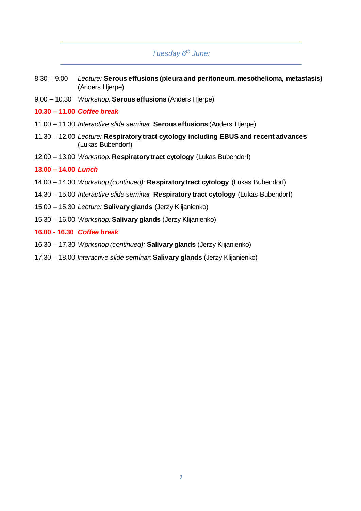# *Tuesday 6 th June:*

- 8.30 9.00 *Lecture:* **Serous effusions (pleura and peritoneum, mesothelioma, metastasis)**  (Anders Hjerpe)
- 9.00 10.30 *Workshop:* **Serous effusions** (Anders Hjerpe)
- **10.30 – 11.00** *Coffee break*
- 11.00 11.30 *Interactive slide seminar*: **Serous effusions** (Anders Hjerpe)
- 11.30 12.00 *Lecture:* **Respiratory tract cytology including EBUS and recent advances** (Lukas Bubendorf)
- 12.00 13.00 *Workshop:* **Respiratory tract cytology** (Lukas Bubendorf)

## **13.00 – 14.00** *Lunch*

- 14.00 14.30 *Workshop (continued):* **Respiratory tract cytology** (Lukas Bubendorf)
- 14.30 15.00 *Interactive slide seminar*: **Respiratory tract cytology** (Lukas Bubendorf)
- 15.00 15.30 *Lecture:* **Salivary glands** (Jerzy Klijanienko)
- 15.30 16.00 *Workshop:* **Salivary glands** (Jerzy Klijanienko)
- **16.00 - 16.30** *Coffee break*
- 16.30 17.30 *Workshop (continued):* **Salivary glands** (Jerzy Klijanienko)
- 17.30 18.00 *Interactive slide seminar:* **Salivary glands** (Jerzy Klijanienko)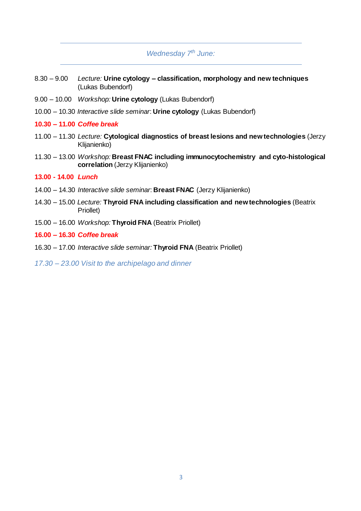# *Wednesday 7 th June:*

- 8.30 9.00 *Lecture:* **Urine cytology – classification, morphology and new techniques**  (Lukas Bubendorf)
- 9.00 10.00 *Workshop:* **Urine cytology** (Lukas Bubendorf)
- 10.00 10.30 *Interactive slide seminar*: **Urine cytology** (Lukas Bubendorf)
- **10.30 – 11.00** *Coffee break*
- 11.00 11.30 *Lecture:* **Cytological diagnostics of breast lesions and new technologies** (Jerzy Klijanienko)
- 11.30 13.00 *Workshop:* **Breast FNAC including immunocytochemistry and cyto-histological correlation** (Jerzy Klijanienko)

#### **13.00 - 14.00** *Lunch*

- 14.00 14.30 *Interactive slide seminar*: **Breast FNAC** (Jerzy Klijanienko)
- 14.30 15.00 *Lecture:* **Thyroid FNA including classification and new technologies** (Beatrix Priollet)
- 15.00 16.00 *Workshop:* **Thyroid FNA** (Beatrix Priollet)
- **16.00 – 16.30** *Coffee break*
- 16.30 17.00 *Interactive slide seminar:* **Thyroid FNA** (Beatrix Priollet)
- *17.30 – 23.00 Visit to the archipelago and dinner*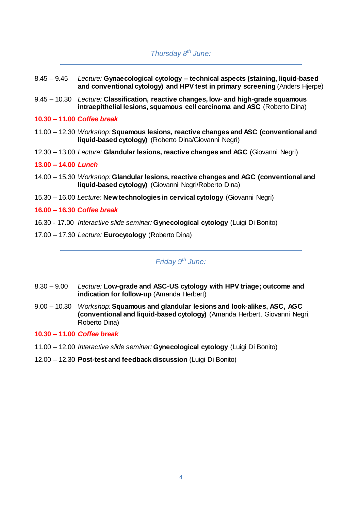# *Thursday 8 th June:*

- 8.45 9.45 *Lecture:* **Gynaecological cytology – technical aspects (staining, liquid-based and conventional cytology) and HPV test in primary screening** (Anders Hjerpe)
- 9.45 10.30 *Lecture:* **Classification, reactive changes, low- and high-grade squamous intraepithelial lesions, squamous cell carcinoma and ASC** (Roberto Dina)
- **10.30 – 11.00** *Coffee break*
- 11.00 12.30 *Workshop:* **Squamous lesions, reactive changes and ASC (conventional and liquid-based cytology)** (Roberto Dina/Giovanni Negri)
- 12.30 13.00 *Lecture:* **Glandular lesions, reactive changes and AGC** (Giovanni Negri)

#### **13.00 – 14.00** *Lunch*

- 14.00 15.30 *Workshop:* **Glandular lesions, reactive changes and AGC (conventional and liquid-based cytology)** (Giovanni Negri/Roberto Dina)
- 15.30 16.00 *Lecture:* **New technologies in cervical cytology** (Giovanni Negri)

#### **16.00 – 16.30** *Coffee break*

- 16.30 17.00 *Interactive slide seminar:* **Gynecological cytology** (Luigi Di Bonito)
- 17.00 17.30 *Lecture:* **Eurocytology** (Roberto Dina)

## *Friday 9 th June:*

- 8.30 9.00 *Lecture:* **Low-grade and ASC-US cytology with HPV triage; outcome and indication for follow-up** (Amanda Herbert)
- 9.00 10.30 *Workshop:* **Squamous and glandular lesions and look-alikes, ASC, AGC (conventional and liquid-based cytology)** (Amanda Herbert, Giovanni Negri, Roberto Dina)

#### **10.30 – 11.00** *Coffee break*

- 11.00 12.00 *Interactive slide seminar:* **Gynecological cytology** (Luigi Di Bonito)
- 12.00 12.30 **Post-test and feedback discussion** (Luigi Di Bonito)